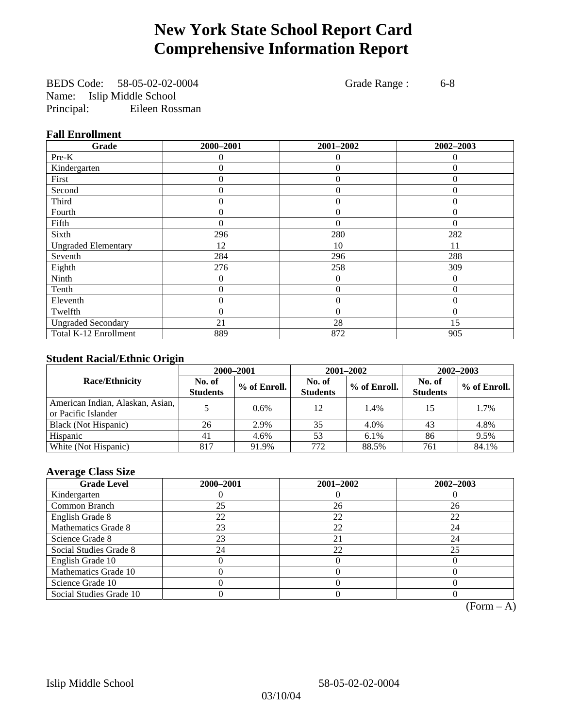# **New York State School Report Card Comprehensive Information Report**

BEDS Code: 58-05-02-02-0004 Grade Range : 6-8 Name: Islip Middle School Principal: Eileen Rossman

### **Fall Enrollment**

| Grade                      | 2000-2001      | 2001-2002        | 2002-2003    |
|----------------------------|----------------|------------------|--------------|
| Pre-K                      | 0              | $\theta$         | $\mathbf{0}$ |
| Kindergarten               | 0              | $\theta$         | $\Omega$     |
| First                      | $\theta$       | $\theta$         | $\Omega$     |
| Second                     | 0              | $\theta$         | $\Omega$     |
| Third                      | 0              | 0                | 0            |
| Fourth                     | 0              | $\overline{0}$   | 0            |
| Fifth                      | $\theta$       | $\theta$         | $\Omega$     |
| Sixth                      | 296            | 280              | 282          |
| <b>Ungraded Elementary</b> | 12             | 10               | 11           |
| Seventh                    | 284            | 296              | 288          |
| Eighth                     | 276            | 258              | 309          |
| Ninth                      | 0              | 0                | $\Omega$     |
| Tenth                      | $\overline{0}$ | $\boldsymbol{0}$ | $\theta$     |
| Eleventh                   | 0              | $\overline{0}$   | $\theta$     |
| Twelfth                    | 0              | $\overline{0}$   | $\theta$     |
| <b>Ungraded Secondary</b>  | 21             | 28               | 15           |
| Total K-12 Enrollment      | 889            | 872              | 905          |

### **Student Racial/Ethnic Origin**

|                                                         | 2000-2001                 |              |                           | 2001-2002    | $2002 - 2003$             |                |
|---------------------------------------------------------|---------------------------|--------------|---------------------------|--------------|---------------------------|----------------|
| <b>Race/Ethnicity</b>                                   | No. of<br><b>Students</b> | % of Enroll. | No. of<br><b>Students</b> | % of Enroll. | No. of<br><b>Students</b> | $%$ of Enroll. |
| American Indian, Alaskan, Asian,<br>or Pacific Islander |                           | 0.6%         | 12                        | 1.4%         | 15                        | 1.7%           |
| Black (Not Hispanic)                                    | 26                        | 2.9%         | 35                        | 4.0%         | 43                        | 4.8%           |
| Hispanic                                                | 41                        | 4.6%         | 53                        | 6.1%         | 86                        | 9.5%           |
| White (Not Hispanic)                                    | 817                       | 91.9%        | 772                       | 88.5%        | 761                       | 84.1%          |

### **Average Class Size**

| <b>Grade Level</b>      | 2000-2001 | 2001-2002 | $2002 - 2003$ |
|-------------------------|-----------|-----------|---------------|
| Kindergarten            |           |           |               |
| Common Branch           | 25        | 26        | 26            |
| English Grade 8         | 22        | 22        | 22            |
| Mathematics Grade 8     | 23        | 22        | 24            |
| Science Grade 8         | 23        | 21        | 24            |
| Social Studies Grade 8  | 24        | 22        | 25            |
| English Grade 10        |           |           |               |
| Mathematics Grade 10    |           |           |               |
| Science Grade 10        |           |           |               |
| Social Studies Grade 10 |           |           |               |

 $(Form – A)$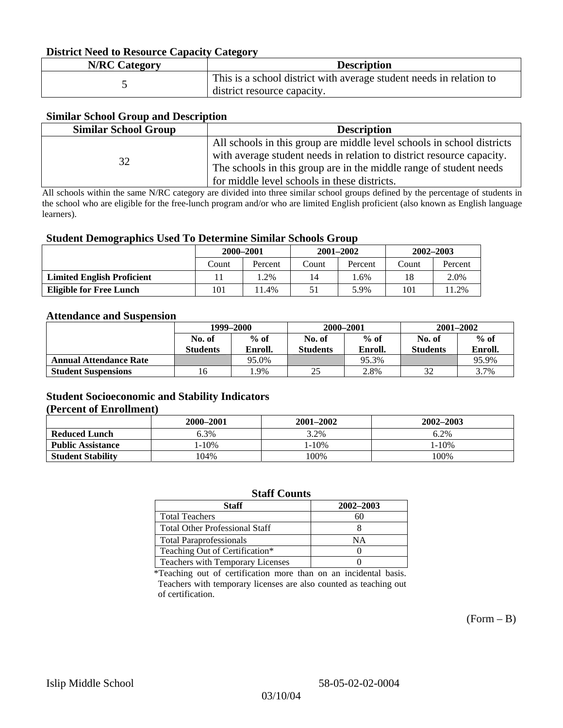### **District Need to Resource Capacity Category**

| <b>N/RC Category</b> | <b>Description</b>                                                                                 |
|----------------------|----------------------------------------------------------------------------------------------------|
|                      | This is a school district with average student needs in relation to<br>district resource capacity. |

### **Similar School Group and Description**

| <b>Similar School Group</b> | <b>Description</b>                                                     |
|-----------------------------|------------------------------------------------------------------------|
|                             | All schools in this group are middle level schools in school districts |
| 32                          | with average student needs in relation to district resource capacity.  |
|                             | The schools in this group are in the middle range of student needs     |
|                             | for middle level schools in these districts.                           |

All schools within the same N/RC category are divided into three similar school groups defined by the percentage of students in the school who are eligible for the free-lunch program and/or who are limited English proficient (also known as English language learners).

#### **Student Demographics Used To Determine Similar Schools Group**

|                                   | 2000-2001 |         | $2001 - 2002$ |         | $2002 - 2003$ |         |
|-----------------------------------|-----------|---------|---------------|---------|---------------|---------|
|                                   | Count     | Percent | Count         | Percent | Count         | Percent |
| <b>Limited English Proficient</b> |           | $.2\%$  | 14            | .6%     | 18            | 2.0%    |
| Eligible for Free Lunch           | 101       | 1.4%    | 51            | 5.9%    | 101           | 11.2%   |

#### **Attendance and Suspension**

|                               | 1999–2000        |         | 2000-2001        |         | $2001 - 2002$   |         |
|-------------------------------|------------------|---------|------------------|---------|-----------------|---------|
|                               | $%$ of<br>No. of |         | $%$ of<br>No. of |         | No. of          | $%$ of  |
|                               | <b>Students</b>  | Enroll. | <b>Students</b>  | Enroll. | <b>Students</b> | Enroll. |
| <b>Annual Attendance Rate</b> |                  | 95.0%   |                  | 95.3%   |                 | 95.9%   |
| <b>Student Suspensions</b>    | 16               | .9%     | 25               | 2.8%    |                 | 3.7%    |

### **Student Socioeconomic and Stability Indicators (Percent of Enrollment)**

|                          | 2000-2001  | $2001 - 2002$ | 2002-2003 |
|--------------------------|------------|---------------|-----------|
| <b>Reduced Lunch</b>     | 6.3%       | 3.2%          | 6.2%      |
| <b>Public Assistance</b> | $1 - 10\%$ | $1 - 10\%$    | $-10%$    |
| <b>Student Stability</b> | '04%       | 100%          | 100%      |

#### **Staff Counts**

| Staff                                   | 2002-2003 |
|-----------------------------------------|-----------|
| <b>Total Teachers</b>                   | 60        |
| <b>Total Other Professional Staff</b>   |           |
| <b>Total Paraprofessionals</b>          | NΑ        |
| Teaching Out of Certification*          |           |
| <b>Teachers with Temporary Licenses</b> |           |

\*Teaching out of certification more than on an incidental basis. Teachers with temporary licenses are also counted as teaching out of certification.

 $(Form - B)$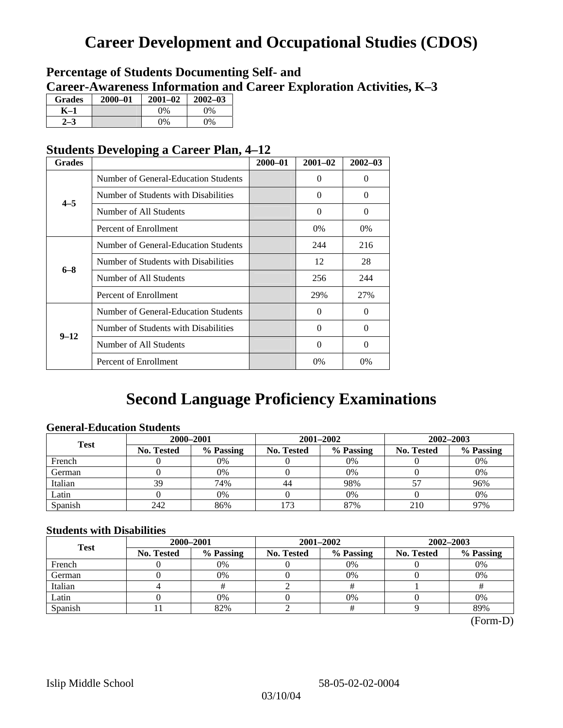# **Career Development and Occupational Studies (CDOS)**

### **Percentage of Students Documenting Self- and Career-Awareness Information and Career Exploration Activities, K–3**

| <b>Grades</b> | $2000 - 01$ | $2001 - 02$ | $2002 - 03$ |
|---------------|-------------|-------------|-------------|
| K–1           |             | $9\%$       | $0\%$       |
|               |             | $0\%$       | $0\%$       |

### **Students Developing a Career Plan, 4–12**

| <b>Grades</b> |                                      | $2000 - 01$ | $2001 - 02$ | $2002 - 03$ |
|---------------|--------------------------------------|-------------|-------------|-------------|
|               | Number of General-Education Students |             | 0           | $\theta$    |
| $4 - 5$       | Number of Students with Disabilities |             | $\Omega$    | $\Omega$    |
|               | Number of All Students               |             | $\Omega$    | $\Omega$    |
|               | Percent of Enrollment                |             | $0\%$       | 0%          |
|               | Number of General-Education Students |             | 244         | 216         |
| $6 - 8$       | Number of Students with Disabilities |             | 12          | 28          |
|               | Number of All Students               |             | 256         | 244         |
|               | Percent of Enrollment                |             | 29%         | 27%         |
|               | Number of General-Education Students |             | 0           | $\Omega$    |
| $9 - 12$      | Number of Students with Disabilities |             | $\Omega$    | $\Omega$    |
|               | Number of All Students               |             | $\Omega$    | $\Omega$    |
|               | Percent of Enrollment                |             | $0\%$       | 0%          |

# **Second Language Proficiency Examinations**

### **General-Education Students**

| <b>Test</b> | 2000-2001         |           |                   | 2001-2002 | 2002-2003         |           |
|-------------|-------------------|-----------|-------------------|-----------|-------------------|-----------|
|             | <b>No. Tested</b> | % Passing | <b>No. Tested</b> | % Passing | <b>No. Tested</b> | % Passing |
| French      |                   | 0%        |                   | $0\%$     |                   | 0%        |
| German      |                   | 0%        |                   | 0%        |                   | 0%        |
| Italian     | 39                | 74%       | 44                | 98%       |                   | 96%       |
| Latin       |                   | 0%        |                   | 0%        |                   | 0%        |
| Spanish     | 242               | 86%       | 173               | 87%       | 210               | 97%       |

### **Students with Disabilities**

| <b>Test</b> | 2000-2001         |           |            | 2001-2002 | 2002-2003         |           |  |
|-------------|-------------------|-----------|------------|-----------|-------------------|-----------|--|
|             | <b>No. Tested</b> | % Passing | No. Tested | % Passing | <b>No. Tested</b> | % Passing |  |
| French      |                   | 0%        |            | $0\%$     |                   | 0%        |  |
| German      |                   | 0%        |            | 0%        |                   | 0%        |  |
| Italian     |                   |           |            |           |                   |           |  |
| Latin       |                   | 0%        |            | $0\%$     |                   | 0%        |  |
| Spanish     |                   | 82%       |            |           |                   | 89%       |  |

 <sup>(</sup>Form-D)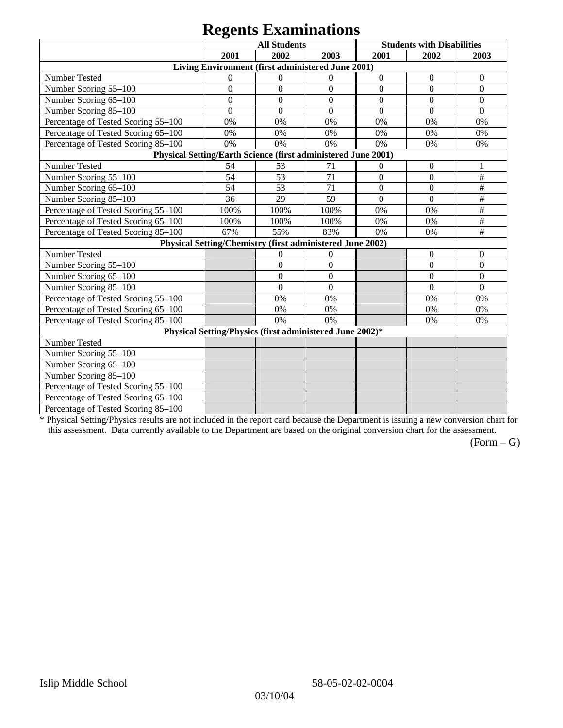# **Regents Examinations**

|                                                               | 8°-<br><b>All Students</b>                                |                |                  | <b>Students with Disabilities</b> |                  |                  |  |  |
|---------------------------------------------------------------|-----------------------------------------------------------|----------------|------------------|-----------------------------------|------------------|------------------|--|--|
|                                                               | 2001<br>2002<br>2003                                      |                |                  | 2001                              | 2002             | 2003             |  |  |
| Living Environment (first administered June 2001)             |                                                           |                |                  |                                   |                  |                  |  |  |
| Number Tested                                                 | $\mathbf{0}$                                              | $\theta$       | $\mathbf{0}$     | $\boldsymbol{0}$                  | $\boldsymbol{0}$ | $\boldsymbol{0}$ |  |  |
| Number Scoring 55-100                                         | $\overline{0}$                                            | $\overline{0}$ | $\overline{0}$   | $\overline{0}$                    | $\overline{0}$   | $\overline{0}$   |  |  |
| Number Scoring 65-100                                         | $\mathbf{0}$                                              | $\overline{0}$ | $\overline{0}$   | $\overline{0}$                    | $\overline{0}$   | $\mathbf{0}$     |  |  |
| Number Scoring 85-100                                         | $\mathbf{0}$                                              | $\overline{0}$ | $\boldsymbol{0}$ | $\boldsymbol{0}$                  | $\boldsymbol{0}$ | $\boldsymbol{0}$ |  |  |
| Percentage of Tested Scoring 55-100                           | 0%                                                        | 0%             | 0%               | 0%                                | 0%               | 0%               |  |  |
| Percentage of Tested Scoring 65-100                           | 0%                                                        | 0%             | 0%               | 0%                                | 0%               | 0%               |  |  |
| Percentage of Tested Scoring 85-100                           | 0%                                                        | 0%             | 0%               | 0%                                | 0%               | 0%               |  |  |
| Physical Setting/Earth Science (first administered June 2001) |                                                           |                |                  |                                   |                  |                  |  |  |
| Number Tested                                                 | 54                                                        | 53             | 71               | $\boldsymbol{0}$                  | $\boldsymbol{0}$ | 1                |  |  |
| Number Scoring 55-100                                         | 54                                                        | 53             | $\overline{71}$  | $\overline{0}$                    | $\overline{0}$   | $\overline{\#}$  |  |  |
| Number Scoring 65-100                                         | 54                                                        | 53             | 71               | $\overline{0}$                    | $\overline{0}$   | $\#$             |  |  |
| Number Scoring 85-100                                         | 36                                                        | 29             | 59               | $\mathbf{0}$                      | $\mathbf{0}$     | $\#$             |  |  |
| Percentage of Tested Scoring 55-100                           | 100%                                                      | 100%           | 100%             | 0%                                | 0%               | #                |  |  |
| Percentage of Tested Scoring 65-100                           | 100%                                                      | 100%           | 100%             | 0%                                | 0%               | $\#$             |  |  |
| Percentage of Tested Scoring 85-100                           | 67%                                                       | 55%            | 83%              | 0%                                | 0%               | $\#$             |  |  |
|                                                               | Physical Setting/Chemistry (first administered June 2002) |                |                  |                                   |                  |                  |  |  |
| Number Tested                                                 |                                                           | $\mathbf{0}$   | $\mathbf{0}$     |                                   | $\theta$         | $\theta$         |  |  |
| Number Scoring 55-100                                         |                                                           | $\overline{0}$ | $\mathbf{0}$     |                                   | $\theta$         | $\overline{0}$   |  |  |
| Number Scoring 65-100                                         |                                                           | $\mathbf{0}$   | $\Omega$         |                                   | $\theta$         | $\theta$         |  |  |
| Number Scoring 85-100                                         |                                                           | $\overline{0}$ | $\mathbf{0}$     |                                   | $\overline{0}$   | $\overline{0}$   |  |  |
| Percentage of Tested Scoring 55-100                           |                                                           | 0%             | 0%               |                                   | 0%               | 0%               |  |  |
| Percentage of Tested Scoring 65-100                           |                                                           | 0%             | 0%               |                                   | 0%               | 0%               |  |  |
| Percentage of Tested Scoring 85-100                           |                                                           | 0%             | 0%               |                                   | 0%               | 0%               |  |  |
| Physical Setting/Physics (first administered June 2002)*      |                                                           |                |                  |                                   |                  |                  |  |  |
| Number Tested                                                 |                                                           |                |                  |                                   |                  |                  |  |  |
| Number Scoring 55-100                                         |                                                           |                |                  |                                   |                  |                  |  |  |
| Number Scoring 65-100                                         |                                                           |                |                  |                                   |                  |                  |  |  |
| Number Scoring 85-100                                         |                                                           |                |                  |                                   |                  |                  |  |  |
| Percentage of Tested Scoring 55-100                           |                                                           |                |                  |                                   |                  |                  |  |  |
| Percentage of Tested Scoring 65-100                           |                                                           |                |                  |                                   |                  |                  |  |  |
| Percentage of Tested Scoring 85-100                           |                                                           |                |                  |                                   |                  |                  |  |  |

\* Physical Setting/Physics results are not included in the report card because the Department is issuing a new conversion chart for this assessment. Data currently available to the Department are based on the original conversion chart for the assessment.

 $(Form - G)$